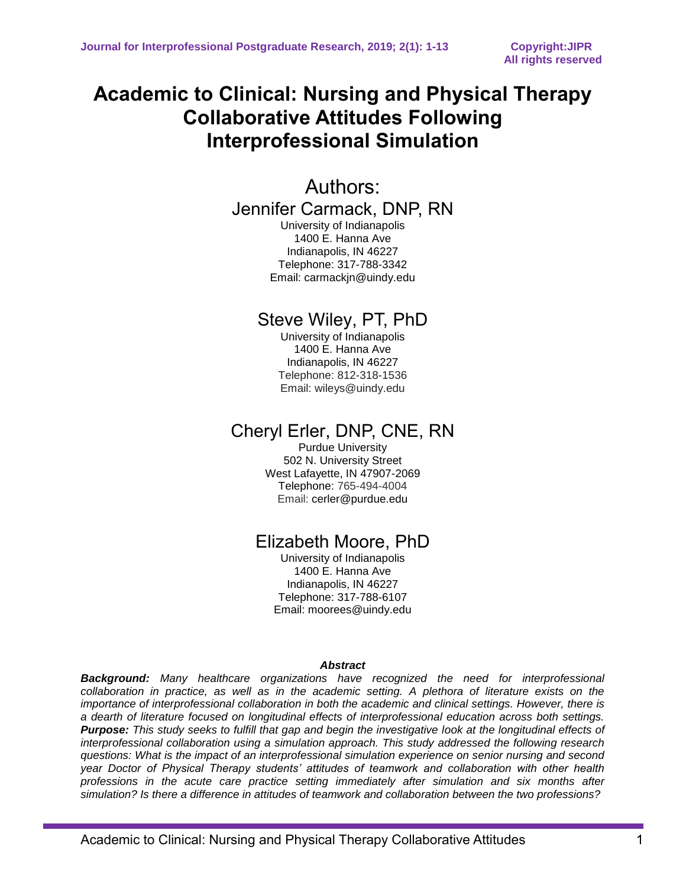# **Academic to Clinical: Nursing and Physical Therapy Collaborative Attitudes Following Interprofessional Simulation**

## Authors:

Jennifer Carmack, DNP, RN

University of Indianapolis 1400 E. Hanna Ave Indianapolis, IN 46227 Telephone: 317-788-3342 Email: carmackjn@uindy.edu

## Steve Wiley, PT, PhD

University of Indianapolis 1400 E. Hanna Ave Indianapolis, IN 46227 Telephone: 812-318-1536 Email: wileys@uindy.edu

## Cheryl Erler, DNP, CNE, RN

Purdue University 502 N. University Street West Lafayette, IN 47907-2069 Telephone: 765-494-4004 Email: cerler@purdue.edu

# Elizabeth Moore, PhD

University of Indianapolis 1400 E. Hanna Ave Indianapolis, IN 46227 Telephone: 317-788-6107 Email: moorees@uindy.edu

### *Abstract*

*Background: Many healthcare organizations have recognized the need for interprofessional collaboration in practice, as well as in the academic setting. A plethora of literature exists on the importance of interprofessional collaboration in both the academic and clinical settings. However, there is a dearth of literature focused on longitudinal effects of interprofessional education across both settings. Purpose: This study seeks to fulfill that gap and begin the investigative look at the longitudinal effects of interprofessional collaboration using a simulation approach. This study addressed the following research questions: What is the impact of an interprofessional simulation experience on senior nursing and second year Doctor of Physical Therapy students' attitudes of teamwork and collaboration with other health professions in the acute care practice setting immediately after simulation and six months after simulation? Is there a difference in attitudes of teamwork and collaboration between the two professions?*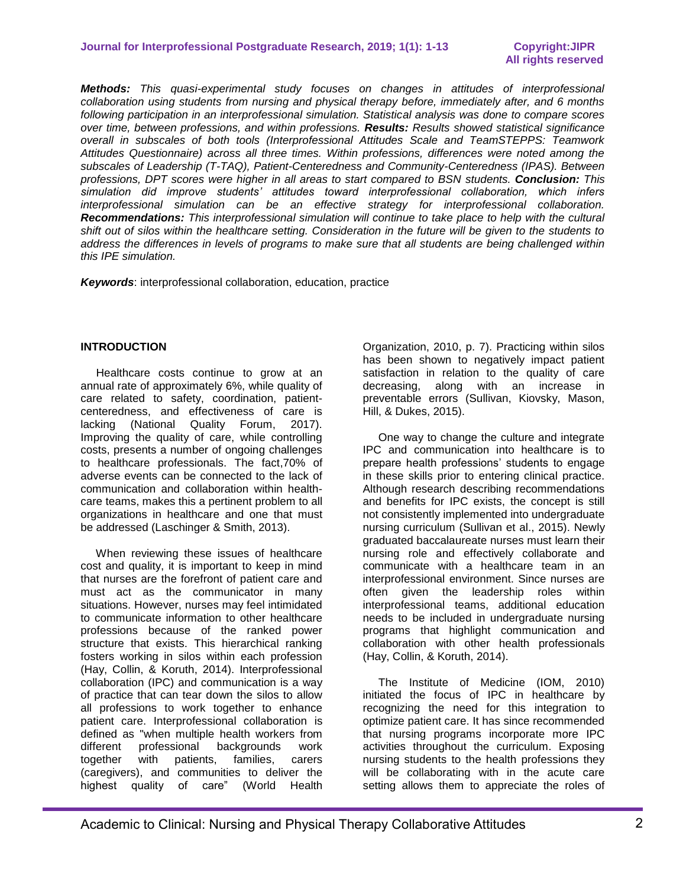*Methods: This quasi-experimental study focuses on changes in attitudes of interprofessional collaboration using students from nursing and physical therapy before, immediately after, and 6 months following participation in an interprofessional simulation. Statistical analysis was done to compare scores over time, between professions, and within professions. Results: Results showed statistical significance overall in subscales of both tools (Interprofessional Attitudes Scale and TeamSTEPPS: Teamwork Attitudes Questionnaire) across all three times. Within professions, differences were noted among the subscales of Leadership (T-TAQ), Patient-Centeredness and Community-Centeredness (IPAS). Between professions, DPT scores were higher in all areas to start compared to BSN students. Conclusion: This simulation did improve students' attitudes toward interprofessional collaboration, which infers interprofessional simulation can be an effective strategy for interprofessional collaboration. Recommendations: This interprofessional simulation will continue to take place to help with the cultural shift out of silos within the healthcare setting. Consideration in the future will be given to the students to address the differences in levels of programs to make sure that all students are being challenged within this IPE simulation.*

*Keywords*: interprofessional collaboration, education, practice

#### **INTRODUCTION**

 Healthcare costs continue to grow at an annual rate of approximately 6%, while quality of care related to safety, coordination, patientcenteredness, and effectiveness of care is lacking (National Quality Forum, 2017). Improving the quality of care, while controlling costs, presents a number of ongoing challenges to healthcare professionals. The fact,70% of adverse events can be connected to the lack of communication and collaboration within healthcare teams, makes this a pertinent problem to all organizations in healthcare and one that must be addressed (Laschinger & Smith, 2013).

 When reviewing these issues of healthcare cost and quality, it is important to keep in mind that nurses are the forefront of patient care and must act as the communicator in many situations. However, nurses may feel intimidated to communicate information to other healthcare professions because of the ranked power structure that exists. This hierarchical ranking fosters working in silos within each profession (Hay, Collin, & Koruth, 2014). Interprofessional collaboration (IPC) and communication is a way of practice that can tear down the silos to allow all professions to work together to enhance patient care. Interprofessional collaboration is defined as "when multiple health workers from different professional backgrounds work together with patients, families, carers (caregivers), and communities to deliver the highest quality of care" (World Health

Organization, 2010, p. 7). Practicing within silos has been shown to negatively impact patient satisfaction in relation to the quality of care decreasing, along with an increase in preventable errors (Sullivan, Kiovsky, Mason, Hill, & Dukes, 2015).

 One way to change the culture and integrate IPC and communication into healthcare is to prepare health professions' students to engage in these skills prior to entering clinical practice. Although research describing recommendations and benefits for IPC exists, the concept is still not consistently implemented into undergraduate nursing curriculum (Sullivan et al., 2015). Newly graduated baccalaureate nurses must learn their nursing role and effectively collaborate and communicate with a healthcare team in an interprofessional environment. Since nurses are often given the leadership roles within interprofessional teams, additional education needs to be included in undergraduate nursing programs that highlight communication and collaboration with other health professionals (Hay, Collin, & Koruth, 2014).

 The Institute of Medicine (IOM, 2010) initiated the focus of IPC in healthcare by recognizing the need for this integration to optimize patient care. It has since recommended that nursing programs incorporate more IPC activities throughout the curriculum. Exposing nursing students to the health professions they will be collaborating with in the acute care setting allows them to appreciate the roles of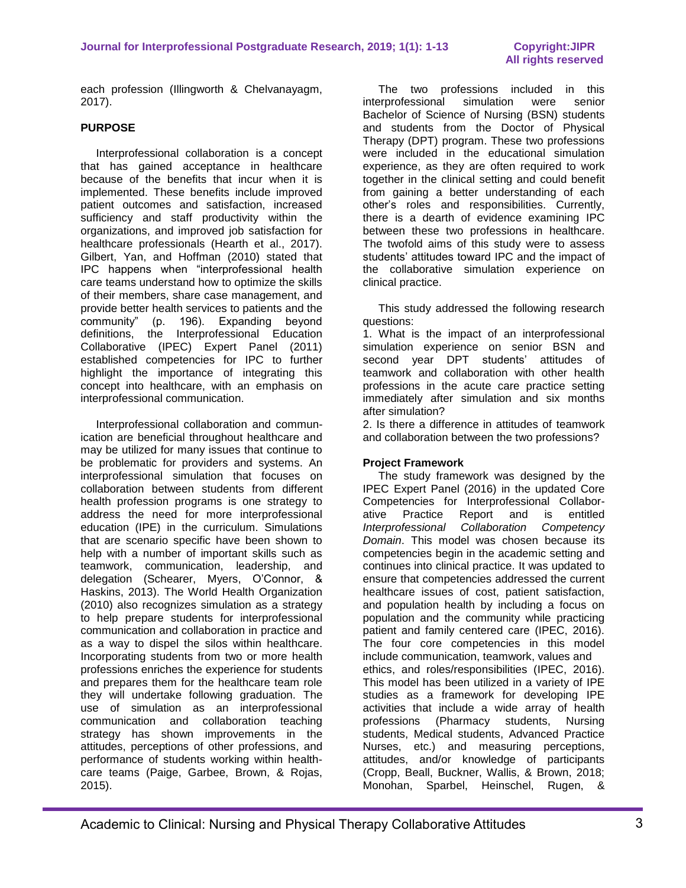each profession (Illingworth & Chelvanayagm, 2017).

### **PURPOSE**

 Interprofessional collaboration is a concept that has gained acceptance in healthcare because of the benefits that incur when it is implemented. These benefits include improved patient outcomes and satisfaction, increased sufficiency and staff productivity within the organizations, and improved job satisfaction for healthcare professionals (Hearth et al., 2017). Gilbert, Yan, and Hoffman (2010) stated that IPC happens when "interprofessional health care teams understand how to optimize the skills of their members, share case management, and provide better health services to patients and the community" (p. 196). Expanding beyond definitions, the Interprofessional Education Collaborative (IPEC) Expert Panel (2011) established competencies for IPC to further highlight the importance of integrating this concept into healthcare, with an emphasis on interprofessional communication.

 Interprofessional collaboration and communication are beneficial throughout healthcare and may be utilized for many issues that continue to be problematic for providers and systems. An interprofessional simulation that focuses on collaboration between students from different health profession programs is one strategy to address the need for more interprofessional education (IPE) in the curriculum. Simulations that are scenario specific have been shown to help with a number of important skills such as teamwork, communication, leadership, and delegation (Schearer, Myers, O'Connor, & Haskins, 2013). The World Health Organization (2010) also recognizes simulation as a strategy to help prepare students for interprofessional communication and collaboration in practice and as a way to dispel the silos within healthcare. Incorporating students from two or more health professions enriches the experience for students and prepares them for the healthcare team role they will undertake following graduation. The use of simulation as an interprofessional communication and collaboration teaching strategy has shown improvements in the attitudes, perceptions of other professions, and performance of students working within healthcare teams (Paige, Garbee, Brown, & Rojas, 2015).

 The two professions included in this interprofessional simulation were senior Bachelor of Science of Nursing (BSN) students and students from the Doctor of Physical Therapy (DPT) program. These two professions were included in the educational simulation experience, as they are often required to work together in the clinical setting and could benefit from gaining a better understanding of each other's roles and responsibilities. Currently, there is a dearth of evidence examining IPC between these two professions in healthcare. The twofold aims of this study were to assess students' attitudes toward IPC and the impact of the collaborative simulation experience on clinical practice.

 This study addressed the following research questions:

1. What is the impact of an interprofessional simulation experience on senior BSN and second year DPT students' attitudes of teamwork and collaboration with other health professions in the acute care practice setting immediately after simulation and six months after simulation?

2. Is there a difference in attitudes of teamwork and collaboration between the two professions?

#### **Project Framework**

 The study framework was designed by the IPEC Expert Panel (2016) in the updated Core Competencies for Interprofessional Collaborative Practice Report and is entitled *Interprofessional Collaboration Competency Domain*. This model was chosen because its competencies begin in the academic setting and continues into clinical practice. It was updated to ensure that competencies addressed the current healthcare issues of cost, patient satisfaction, and population health by including a focus on population and the community while practicing patient and family centered care (IPEC, 2016). The four core competencies in this model include communication, teamwork, values and ethics, and roles/responsibilities (IPEC, 2016). This model has been utilized in a variety of IPE studies as a framework for developing IPE activities that include a wide array of health professions (Pharmacy students, Nursing students, Medical students, Advanced Practice Nurses, etc.) and measuring perceptions, attitudes, and/or knowledge of participants (Cropp, Beall, Buckner, Wallis, & Brown, 2018; Monohan, Sparbel, Heinschel, Rugen, &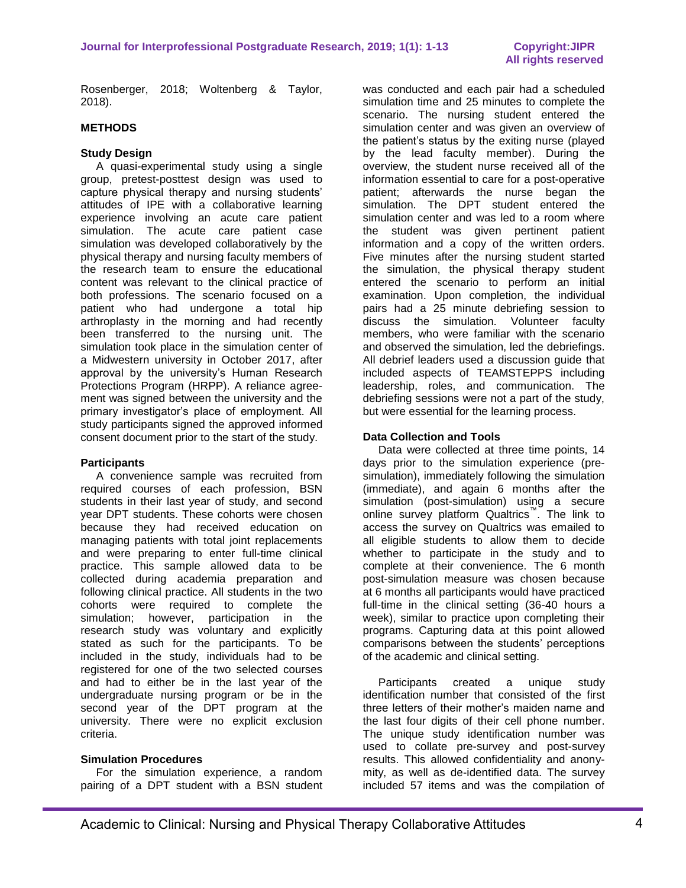Rosenberger, 2018; Woltenberg & Taylor, 2018).

### **METHODS**

#### **Study Design**

A quasi-experimental study using a single group, pretest-posttest design was used to capture physical therapy and nursing students' attitudes of IPE with a collaborative learning experience involving an acute care patient simulation. The acute care patient case simulation was developed collaboratively by the physical therapy and nursing faculty members of the research team to ensure the educational content was relevant to the clinical practice of both professions. The scenario focused on a patient who had undergone a total hip arthroplasty in the morning and had recently been transferred to the nursing unit. The simulation took place in the simulation center of a Midwestern university in October 2017, after approval by the university's Human Research Protections Program (HRPP). A reliance agreement was signed between the university and the primary investigator's place of employment. All study participants signed the approved informed consent document prior to the start of the study.

#### **Participants**

 A convenience sample was recruited from required courses of each profession, BSN students in their last year of study, and second year DPT students. These cohorts were chosen because they had received education on managing patients with total joint replacements and were preparing to enter full-time clinical practice. This sample allowed data to be collected during academia preparation and following clinical practice. All students in the two cohorts were required to complete the simulation; however, participation in the research study was voluntary and explicitly stated as such for the participants. To be included in the study, individuals had to be registered for one of the two selected courses and had to either be in the last year of the undergraduate nursing program or be in the second year of the DPT program at the university. There were no explicit exclusion criteria.

#### **Simulation Procedures**

 For the simulation experience, a random pairing of a DPT student with a BSN student was conducted and each pair had a scheduled simulation time and 25 minutes to complete the scenario. The nursing student entered the simulation center and was given an overview of the patient's status by the exiting nurse (played by the lead faculty member). During the overview, the student nurse received all of the information essential to care for a post-operative patient; afterwards the nurse began the simulation. The DPT student entered the simulation center and was led to a room where the student was given pertinent patient information and a copy of the written orders. Five minutes after the nursing student started the simulation, the physical therapy student entered the scenario to perform an initial examination. Upon completion, the individual pairs had a 25 minute debriefing session to discuss the simulation. Volunteer faculty members, who were familiar with the scenario and observed the simulation, led the debriefings. All debrief leaders used a discussion guide that included aspects of TEAMSTEPPS including leadership, roles, and communication. The debriefing sessions were not a part of the study, but were essential for the learning process.

#### **Data Collection and Tools**

 Data were collected at three time points, 14 days prior to the simulation experience (presimulation), immediately following the simulation (immediate), and again 6 months after the simulation (post-simulation) using a secure online survey platform Qualtrics™ . The link to access the survey on Qualtrics was emailed to all eligible students to allow them to decide whether to participate in the study and to complete at their convenience. The 6 month post-simulation measure was chosen because at 6 months all participants would have practiced full-time in the clinical setting (36-40 hours a week), similar to practice upon completing their programs. Capturing data at this point allowed comparisons between the students' perceptions of the academic and clinical setting.

 Participants created a unique study identification number that consisted of the first three letters of their mother's maiden name and the last four digits of their cell phone number. The unique study identification number was used to collate pre-survey and post-survey results. This allowed confidentiality and anonymity, as well as de-identified data. The survey included 57 items and was the compilation of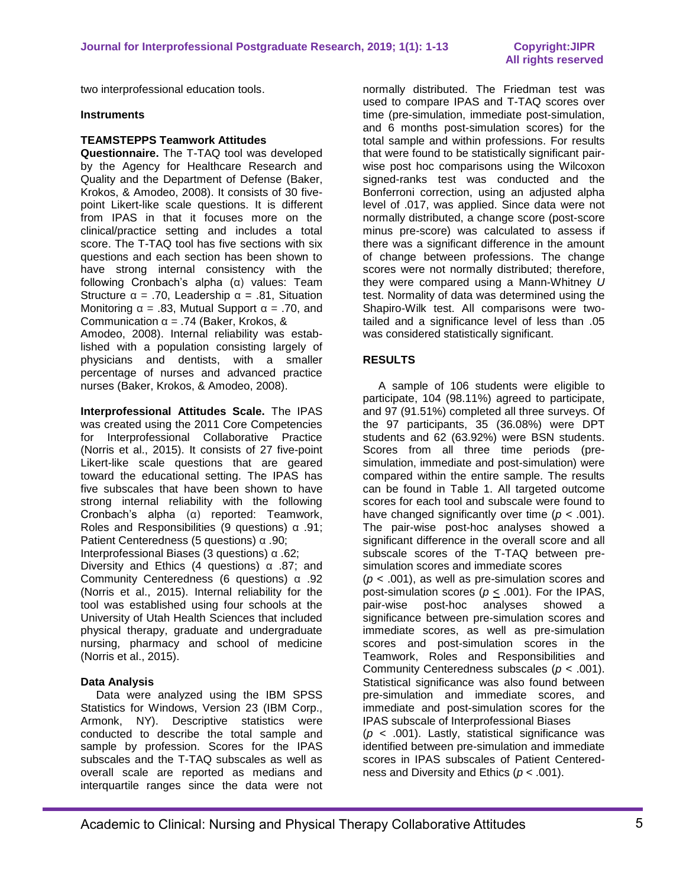two interprofessional education tools.

#### **Instruments**

#### **TEAMSTEPPS Teamwork Attitudes**

**Questionnaire.** The T-TAQ tool was developed by the Agency for Healthcare Research and Quality and the Department of Defense (Baker, Krokos, & Amodeo, 2008). It consists of 30 fivepoint Likert-like scale questions. It is different from IPAS in that it focuses more on the clinical/practice setting and includes a total score. The T-TAQ tool has five sections with six questions and each section has been shown to have strong internal consistency with the following Cronbach's alpha (α) values: Team Structure  $\alpha$  = .70, Leadership  $\alpha$  = .81, Situation Monitoring  $\alpha = .83$ , Mutual Support  $\alpha = .70$ , and Communication α = .74 (Baker, Krokos, &

Amodeo, 2008). Internal reliability was established with a population consisting largely of physicians and dentists, with a smaller percentage of nurses and advanced practice nurses (Baker, Krokos, & Amodeo, 2008).

**Interprofessional Attitudes Scale.** The IPAS was created using the 2011 Core Competencies for Interprofessional Collaborative Practice (Norris et al., 2015). It consists of 27 five-point Likert-like scale questions that are geared toward the educational setting. The IPAS has five subscales that have been shown to have strong internal reliability with the following Cronbach's alpha (α) reported: Teamwork, Roles and Responsibilities (9 questions) α .91; Patient Centeredness (5 questions) α .90;

Interprofessional Biases (3 questions) α .62;

Diversity and Ethics (4 questions) α .87; and Community Centeredness (6 questions) α .92 (Norris et al., 2015). Internal reliability for the tool was established using four schools at the University of Utah Health Sciences that included physical therapy, graduate and undergraduate nursing, pharmacy and school of medicine (Norris et al., 2015).

#### **Data Analysis**

 Data were analyzed using the IBM SPSS Statistics for Windows, Version 23 (IBM Corp., Armonk, NY). Descriptive statistics were conducted to describe the total sample and sample by profession. Scores for the IPAS subscales and the T-TAQ subscales as well as overall scale are reported as medians and interquartile ranges since the data were not normally distributed. The Friedman test was used to compare IPAS and T-TAQ scores over time (pre-simulation, immediate post-simulation, and 6 months post-simulation scores) for the total sample and within professions. For results that were found to be statistically significant pairwise post hoc comparisons using the Wilcoxon signed-ranks test was conducted and the Bonferroni correction, using an adjusted alpha level of .017, was applied. Since data were not normally distributed, a change score (post-score minus pre-score) was calculated to assess if there was a significant difference in the amount of change between professions. The change scores were not normally distributed; therefore, they were compared using a Mann-Whitney *U*  test. Normality of data was determined using the Shapiro-Wilk test. All comparisons were twotailed and a significance level of less than .05 was considered statistically significant.

#### **RESULTS**

 A sample of 106 students were eligible to participate, 104 (98.11%) agreed to participate, and 97 (91.51%) completed all three surveys. Of the 97 participants, 35 (36.08%) were DPT students and 62 (63.92%) were BSN students. Scores from all three time periods (presimulation, immediate and post-simulation) were compared within the entire sample. The results can be found in Table 1. All targeted outcome scores for each tool and subscale were found to have changed significantly over time (*p* < .001). The pair-wise post-hoc analyses showed a significant difference in the overall score and all subscale scores of the T-TAQ between presimulation scores and immediate scores (*p* < .001), as well as pre-simulation scores and post-simulation scores (*p* < .001). For the IPAS, pair-wise post-hoc analyses showed a significance between pre-simulation scores and immediate scores, as well as pre-simulation scores and post-simulation scores in the Teamwork, Roles and Responsibilities and Community Centeredness subscales (*p* < .001). Statistical significance was also found between pre-simulation and immediate scores, and immediate and post-simulation scores for the IPAS subscale of Interprofessional Biases (*p* < .001). Lastly, statistical significance was identified between pre-simulation and immediate scores in IPAS subscales of Patient Centered-

ness and Diversity and Ethics (*p* < .001).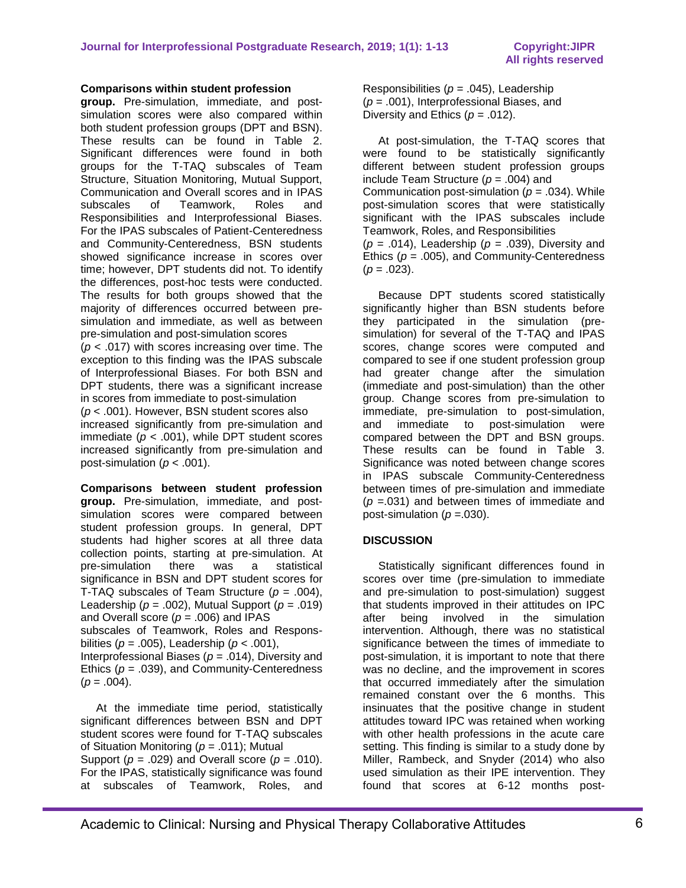#### **Comparisons within student profession**

**group.** Pre-simulation, immediate, and postsimulation scores were also compared within both student profession groups (DPT and BSN). These results can be found in Table 2. Significant differences were found in both groups for the T-TAQ subscales of Team Structure, Situation Monitoring, Mutual Support, Communication and Overall scores and in IPAS subscales of Teamwork, Roles and Responsibilities and Interprofessional Biases. For the IPAS subscales of Patient-Centeredness and Community-Centeredness, BSN students showed significance increase in scores over time; however, DPT students did not. To identify the differences, post-hoc tests were conducted. The results for both groups showed that the majority of differences occurred between presimulation and immediate, as well as between pre-simulation and post-simulation scores (*p* < .017) with scores increasing over time. The exception to this finding was the IPAS subscale of Interprofessional Biases. For both BSN and DPT students, there was a significant increase in scores from immediate to post-simulation (*p* < .001). However, BSN student scores also increased significantly from pre-simulation and immediate  $(p < .001)$ , while DPT student scores increased significantly from pre-simulation and post-simulation ( $p < .001$ ).

**Comparisons between student profession group.** Pre-simulation, immediate, and postsimulation scores were compared between student profession groups. In general, DPT students had higher scores at all three data collection points, starting at pre-simulation. At pre-simulation there was a statistical significance in BSN and DPT student scores for T-TAQ subscales of Team Structure (*p* = .004), Leadership ( $p = .002$ ), Mutual Support ( $p = .019$ ) and Overall score (*p* = .006) and IPAS subscales of Teamwork, Roles and Responsbilities ( $p = .005$ ), Leadership ( $p < .001$ ),

Interprofessional Biases (*p* = .014), Diversity and Ethics (*p* = .039), and Community-Centeredness  $(p = .004)$ .

 At the immediate time period, statistically significant differences between BSN and DPT student scores were found for T-TAQ subscales of Situation Monitoring (*p* = .011); Mutual

Support ( $p = .029$ ) and Overall score ( $p = .010$ ). For the IPAS, statistically significance was found at subscales of Teamwork, Roles, and Responsibilities (*p* = .045), Leadership (*p* = .001), Interprofessional Biases, and Diversity and Ethics  $(p = .012)$ .

 At post-simulation, the T-TAQ scores that were found to be statistically significantly different between student profession groups include Team Structure ( $p = .004$ ) and Communication post-simulation  $(p = .034)$ . While post-simulation scores that were statistically significant with the IPAS subscales include Teamwork, Roles, and Responsibilities (*p* = .014), Leadership (*p* = .039), Diversity and Ethics  $(p = .005)$ , and Community-Centeredness  $(p = .023)$ .

 Because DPT students scored statistically significantly higher than BSN students before they participated in the simulation (presimulation) for several of the T-TAQ and IPAS scores, change scores were computed and compared to see if one student profession group had greater change after the simulation (immediate and post-simulation) than the other group. Change scores from pre-simulation to immediate, pre-simulation to post-simulation, and immediate to post-simulation were compared between the DPT and BSN groups. These results can be found in Table 3. Significance was noted between change scores in IPAS subscale Community-Centeredness between times of pre-simulation and immediate (*p* =.031) and between times of immediate and post-simulation  $(p = .030)$ .

#### **DISCUSSION**

 Statistically significant differences found in scores over time (pre-simulation to immediate and pre-simulation to post-simulation) suggest that students improved in their attitudes on IPC after being involved in the simulation intervention. Although, there was no statistical significance between the times of immediate to post-simulation, it is important to note that there was no decline, and the improvement in scores that occurred immediately after the simulation remained constant over the 6 months. This insinuates that the positive change in student attitudes toward IPC was retained when working with other health professions in the acute care setting. This finding is similar to a study done by Miller, Rambeck, and Snyder (2014) who also used simulation as their IPE intervention. They found that scores at 6-12 months post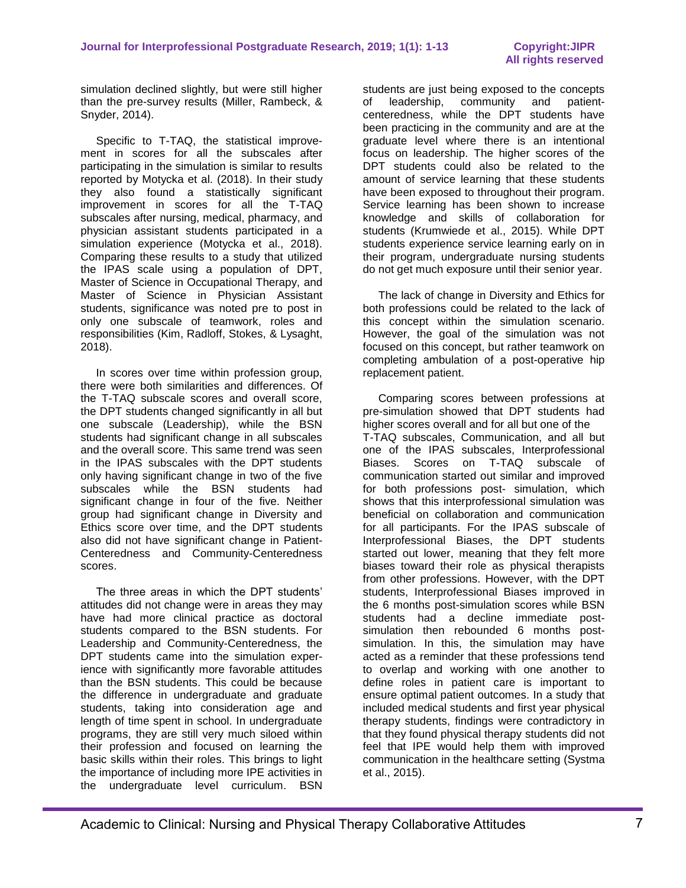simulation declined slightly, but were still higher than the pre-survey results (Miller, Rambeck, & Snyder, 2014).

 Specific to T-TAQ, the statistical improvement in scores for all the subscales after participating in the simulation is similar to results reported by Motycka et al. (2018). In their study they also found a statistically significant improvement in scores for all the T-TAQ subscales after nursing, medical, pharmacy, and physician assistant students participated in a simulation experience (Motycka et al., 2018). Comparing these results to a study that utilized the IPAS scale using a population of DPT, Master of Science in Occupational Therapy, and Master of Science in Physician Assistant students, significance was noted pre to post in only one subscale of teamwork, roles and responsibilities (Kim, Radloff, Stokes, & Lysaght, 2018).

 In scores over time within profession group, there were both similarities and differences. Of the T-TAQ subscale scores and overall score, the DPT students changed significantly in all but one subscale (Leadership), while the BSN students had significant change in all subscales and the overall score. This same trend was seen in the IPAS subscales with the DPT students only having significant change in two of the five subscales while the BSN students had significant change in four of the five. Neither group had significant change in Diversity and Ethics score over time, and the DPT students also did not have significant change in Patient-Centeredness and Community-Centeredness scores.

 The three areas in which the DPT students' attitudes did not change were in areas they may have had more clinical practice as doctoral students compared to the BSN students. For Leadership and Community-Centeredness, the DPT students came into the simulation experience with significantly more favorable attitudes than the BSN students. This could be because the difference in undergraduate and graduate students, taking into consideration age and length of time spent in school. In undergraduate programs, they are still very much siloed within their profession and focused on learning the basic skills within their roles. This brings to light the importance of including more IPE activities in the undergraduate level curriculum. BSN

students are just being exposed to the concepts of leadership, community and patientcenteredness, while the DPT students have been practicing in the community and are at the graduate level where there is an intentional focus on leadership. The higher scores of the DPT students could also be related to the amount of service learning that these students have been exposed to throughout their program. Service learning has been shown to increase knowledge and skills of collaboration for students (Krumwiede et al., 2015). While DPT students experience service learning early on in their program, undergraduate nursing students do not get much exposure until their senior year.

 The lack of change in Diversity and Ethics for both professions could be related to the lack of this concept within the simulation scenario. However, the goal of the simulation was not focused on this concept, but rather teamwork on completing ambulation of a post-operative hip replacement patient.

 Comparing scores between professions at pre-simulation showed that DPT students had higher scores overall and for all but one of the T-TAQ subscales, Communication, and all but one of the IPAS subscales, Interprofessional Biases. Scores on T-TAQ subscale of communication started out similar and improved for both professions post- simulation, which shows that this interprofessional simulation was beneficial on collaboration and communication for all participants. For the IPAS subscale of Interprofessional Biases, the DPT students started out lower, meaning that they felt more biases toward their role as physical therapists from other professions. However, with the DPT students, Interprofessional Biases improved in the 6 months post-simulation scores while BSN students had a decline immediate postsimulation then rebounded 6 months postsimulation. In this, the simulation may have acted as a reminder that these professions tend to overlap and working with one another to define roles in patient care is important to ensure optimal patient outcomes. In a study that included medical students and first year physical therapy students, findings were contradictory in that they found physical therapy students did not feel that IPE would help them with improved communication in the healthcare setting (Systma et al., 2015).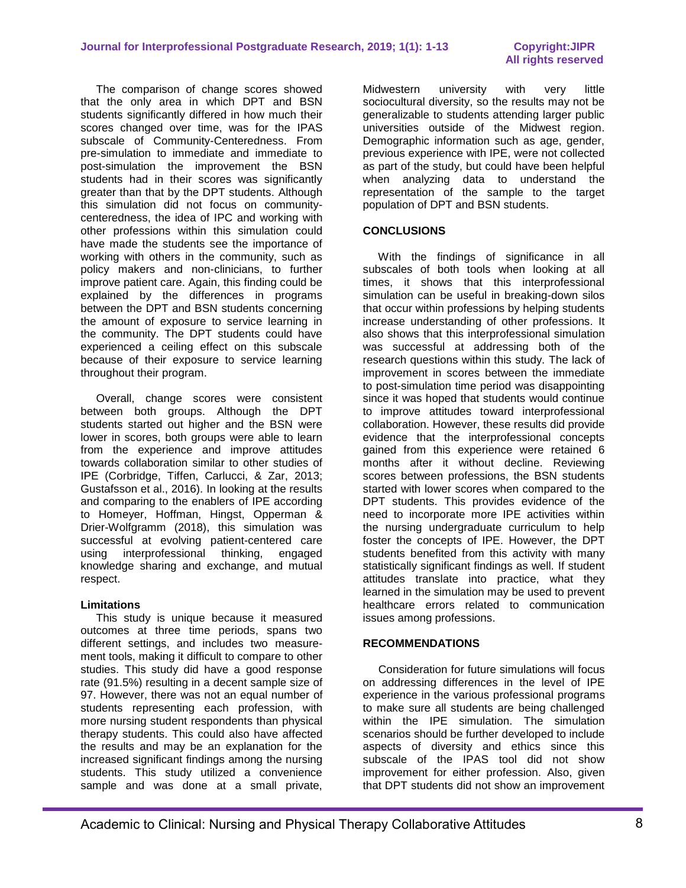The comparison of change scores showed that the only area in which DPT and BSN students significantly differed in how much their scores changed over time, was for the IPAS subscale of Community-Centeredness. From pre-simulation to immediate and immediate to post-simulation the improvement the BSN students had in their scores was significantly greater than that by the DPT students. Although this simulation did not focus on communitycenteredness, the idea of IPC and working with other professions within this simulation could have made the students see the importance of working with others in the community, such as policy makers and non-clinicians, to further improve patient care. Again, this finding could be explained by the differences in programs between the DPT and BSN students concerning the amount of exposure to service learning in the community. The DPT students could have experienced a ceiling effect on this subscale because of their exposure to service learning throughout their program.

 Overall, change scores were consistent between both groups. Although the DPT students started out higher and the BSN were lower in scores, both groups were able to learn from the experience and improve attitudes towards collaboration similar to other studies of IPE (Corbridge, Tiffen, Carlucci, & Zar, 2013; Gustafsson et al., 2016). In looking at the results and comparing to the enablers of IPE according to Homeyer, Hoffman, Hingst, Opperman & Drier-Wolfgramm (2018), this simulation was successful at evolving patient-centered care using interprofessional thinking, engaged knowledge sharing and exchange, and mutual respect.

#### **Limitations**

 This study is unique because it measured outcomes at three time periods, spans two different settings, and includes two measurement tools, making it difficult to compare to other studies. This study did have a good response rate (91.5%) resulting in a decent sample size of 97. However, there was not an equal number of students representing each profession, with more nursing student respondents than physical therapy students. This could also have affected the results and may be an explanation for the increased significant findings among the nursing students. This study utilized a convenience sample and was done at a small private,

Midwestern university with very little sociocultural diversity, so the results may not be generalizable to students attending larger public universities outside of the Midwest region. Demographic information such as age, gender, previous experience with IPE, were not collected as part of the study, but could have been helpful when analyzing data to understand the representation of the sample to the target population of DPT and BSN students.

#### **CONCLUSIONS**

With the findings of significance in all subscales of both tools when looking at all times, it shows that this interprofessional simulation can be useful in breaking-down silos that occur within professions by helping students increase understanding of other professions. It also shows that this interprofessional simulation was successful at addressing both of the research questions within this study. The lack of improvement in scores between the immediate to post-simulation time period was disappointing since it was hoped that students would continue to improve attitudes toward interprofessional collaboration. However, these results did provide evidence that the interprofessional concepts gained from this experience were retained 6 months after it without decline. Reviewing scores between professions, the BSN students started with lower scores when compared to the DPT students. This provides evidence of the need to incorporate more IPE activities within the nursing undergraduate curriculum to help foster the concepts of IPE. However, the DPT students benefited from this activity with many statistically significant findings as well. If student attitudes translate into practice, what they learned in the simulation may be used to prevent healthcare errors related to communication issues among professions.

#### **RECOMMENDATIONS**

 Consideration for future simulations will focus on addressing differences in the level of IPE experience in the various professional programs to make sure all students are being challenged within the IPE simulation. The simulation scenarios should be further developed to include aspects of diversity and ethics since this subscale of the IPAS tool did not show improvement for either profession. Also, given that DPT students did not show an improvement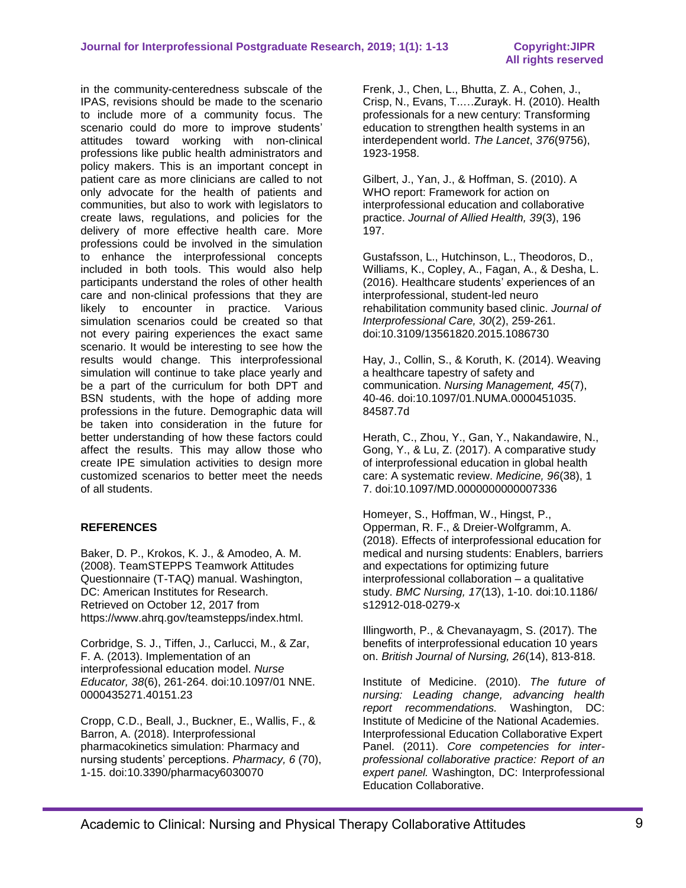in the community-centeredness subscale of the IPAS, revisions should be made to the scenario to include more of a community focus. The scenario could do more to improve students' attitudes toward working with non-clinical professions like public health administrators and policy makers. This is an important concept in patient care as more clinicians are called to not only advocate for the health of patients and communities, but also to work with legislators to create laws, regulations, and policies for the delivery of more effective health care. More professions could be involved in the simulation to enhance the interprofessional concepts included in both tools. This would also help participants understand the roles of other health care and non-clinical professions that they are likely to encounter in practice. Various simulation scenarios could be created so that not every pairing experiences the exact same scenario. It would be interesting to see how the results would change. This interprofessional simulation will continue to take place yearly and be a part of the curriculum for both DPT and BSN students, with the hope of adding more professions in the future. Demographic data will be taken into consideration in the future for better understanding of how these factors could affect the results. This may allow those who create IPE simulation activities to design more customized scenarios to better meet the needs of all students.

### **REFERENCES**

Baker, D. P., Krokos, K. J., & Amodeo, A. M. (2008). [TeamSTEPPS Teamwork Attitudes](http://teamstepps.ahrq.gov/taq_index.htm) [Questionnaire \(T-TAQ\) manual.](http://teamstepps.ahrq.gov/taq_index.htm) Washington, DC: American Institutes for Research. Retrieved on October 12, 2017 from https://www.ahrq.gov/teamstepps/index.html.

Corbridge, S. J., Tiffen, J., Carlucci, M., & Zar, F. A. (2013). Implementation of an interprofessional education model. *Nurse Educator, 38*(6), 261-264. doi:10.1097/01 NNE. 0000435271.40151.23

Cropp, C.D., Beall, J., Buckner, E., Wallis, F., & Barron, A. (2018). Interprofessional pharmacokinetics simulation: Pharmacy and nursing students' perceptions. *Pharmacy, 6* (70), 1-15. doi:10.3390/pharmacy6030070

Frenk, J., Chen, L., Bhutta, Z. A., Cohen, J., Crisp, N., Evans, T..…Zurayk. H. (2010). Health professionals for a new century: Transforming education to strengthen health systems in an interdependent world. *The Lancet*, *376*(9756), 1923-1958.

Gilbert, J., Yan, J., & Hoffman, S. (2010). A WHO report: Framework for action on interprofessional education and collaborative practice. *Journal of Allied Health, 39*(3), 196 197.

Gustafsson, L., Hutchinson, L., Theodoros, D., Williams, K., Copley, A., Fagan, A., & Desha, L. (2016). Healthcare students' experiences of an interprofessional, student-led neuro rehabilitation community based clinic. *Journal of Interprofessional Care, 30*(2), 259-261. doi:10.3109/13561820.2015.1086730

Hay, J., Collin, S., & Koruth, K. (2014). Weaving a healthcare tapestry of safety and communication. *Nursing Management, 45*(7), 40-46. doi:10.1097/01.NUMA.0000451035. 84587.7d

Herath, C., Zhou, Y., Gan, Y., Nakandawire, N., Gong, Y., & Lu, Z. (2017). A comparative study of interprofessional education in global health care: A systematic review. *Medicine, 96*(38), 1 7. doi:10.1097/MD.0000000000007336

Homeyer, S., Hoffman, W., Hingst, P., Opperman, R. F., & Dreier-Wolfgramm, A. (2018). Effects of interprofessional education for medical and nursing students: Enablers, barriers and expectations for optimizing future interprofessional collaboration – a qualitative study. *BMC Nursing, 17*(13), 1-10. doi:10.1186/ s12912-018-0279-x

Illingworth, P., & Chevanayagm, S. (2017). The benefits of interprofessional education 10 years on. *British Journal of Nursing, 26*(14), 813-818.

Institute of Medicine. (2010). *The future of nursing: Leading change, advancing health report recommendations.* Washington, DC: Institute of Medicine of the National Academies. Interprofessional Education Collaborative Expert Panel. (2011). *Core competencies for interprofessional collaborative practice: Report of an expert panel.* Washington, DC: Interprofessional Education Collaborative.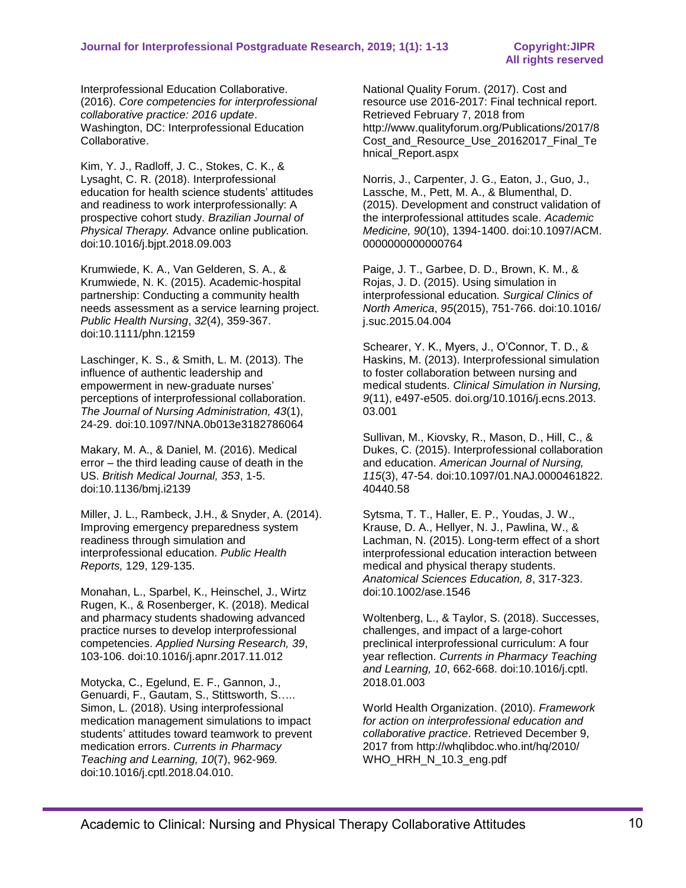Interprofessional Education Collaborative. (2016). *Core competencies for interprofessional collaborative practice: 2016 update*. Washington, DC: Interprofessional Education Collaborative.

Kim, Y. J., Radloff, J. C., Stokes, C. K., & Lysaght, C. R. (2018). Interprofessional education for health science students' attitudes and readiness to work interprofessionally: A prospective cohort study. *Brazilian Journal of Physical Therapy.* Advance online publication*.* doi:10.1016/j.bjpt.2018.09.003

Krumwiede, K. A., Van Gelderen, S. A., & Krumwiede, N. K. (2015). Academic-hospital partnership: Conducting a community health needs assessment as a service learning project. *Public Health Nursing*, *32*(4), 359-367. doi:10.1111/phn.12159

Laschinger, K. S., & Smith, L. M. (2013). The influence of authentic leadership and empowerment in new-graduate nurses' perceptions of interprofessional collaboration. *The Journal of Nursing Administration, 43*(1), 24-29. doi:10.1097/NNA.0b013e3182786064

Makary, M. A., & Daniel, M. (2016). Medical error – the third leading cause of death in the US. *British Medical Journal, 353*, 1-5. doi:10.1136/bmj.i2139

Miller, J. L., Rambeck, J.H., & Snyder, A. (2014). Improving emergency preparedness system readiness through simulation and interprofessional education. *Public Health Reports,* 129, 129-135.

Monahan, L., Sparbel, K., Heinschel, J., Wirtz Rugen, K., & Rosenberger, K. (2018). Medical and pharmacy students shadowing advanced practice nurses to develop interprofessional competencies. *Applied Nursing Research, 39*, 103-106. doi:10.1016/j.apnr.2017.11.012

Motycka, C., Egelund, E. F., Gannon, J., Genuardi, F., Gautam, S., Stittsworth, S….. Simon, L. (2018). Using interprofessional medication management simulations to impact students' attitudes toward teamwork to prevent medication errors. *Currents in Pharmacy Teaching and Learning, 10*(7), 962-969*.* doi:10.1016/j.cptl.2018.04.010.

National Quality Forum. (2017). Cost and resource use 2016-2017: Final technical report. Retrieved February 7, 2018 from http://www.qualityforum.org/Publications/2017/8 Cost and Resource Use 20162017 Final Te hnical\_Report.aspx

Norris, J., Carpenter, J. G., Eaton, J., Guo, J., Lassche, M., Pett, M. A., & Blumenthal, D. (2015). Development and construct validation of the interprofessional attitudes scale. *Academic Medicine, 90*(10), 1394-1400. doi:10.1097/ACM. 0000000000000764

Paige, J. T., Garbee, D. D., Brown, K. M., & Rojas, J. D. (2015). Using simulation in interprofessional education. *Surgical Clinics of North America*, *95*(2015), 751-766. doi:10.1016/ j.suc.2015.04.004

Schearer, Y. K., Myers, J., O'Connor, T. D., & Haskins, M. (2013). Interprofessional simulation to foster collaboration between nursing and medical students. *Clinical Simulation in Nursing, 9*(11), e497-e505. doi.org/10.1016/j.ecns.2013. 03.001

Sullivan, M., Kiovsky, R., Mason, D., Hill, C., & Dukes, C. (2015). Interprofessional collaboration and education. *American Journal of Nursing, 115*(3), 47-54. doi:10.1097/01.NAJ.0000461822. 40440.58

Sytsma, T. T., Haller, E. P., Youdas, J. W., Krause, D. A., Hellyer, N. J., Pawlina, W., & Lachman, N. (2015). Long-term effect of a short interprofessional education interaction between medical and physical therapy students. *Anatomical Sciences Education, 8*, 317-323. doi:10.1002/ase.1546

Woltenberg, L., & Taylor, S. (2018). Successes, challenges, and impact of a large-cohort preclinical interprofessional curriculum: A four year reflection. *Currents in Pharmacy Teaching and Learning, 10*, 662-668. doi:10.1016/j.cptl. 2018.01.003

World Health Organization. (2010). *Framework for action on interprofessional education and collaborative practice*. Retrieved December 9, 2017 from http://whqlibdoc.who.int/hq/2010/ WHO\_HRH\_N\_10.3\_eng.pdf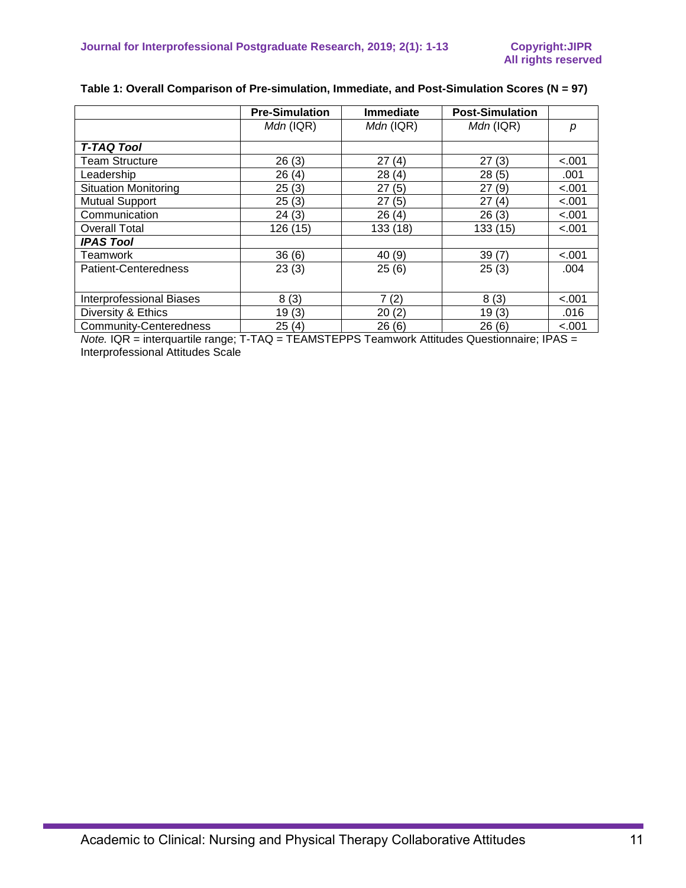|                                              | <b>Pre-Simulation</b> | <b>Immediate</b> | <b>Post-Simulation</b>                            |         |
|----------------------------------------------|-----------------------|------------------|---------------------------------------------------|---------|
|                                              | $Mdn$ (IQR)           | $Mdn$ (IQR)      | $Mdn$ (IQR)                                       | D       |
| <b>T-TAQ Tool</b>                            |                       |                  |                                                   |         |
| Team Structure                               | 26(3)                 | 27<br>(4)        | 27<br>(3)                                         | < .001  |
| Leadership                                   | 26(4)                 | 28(4)            | 28(5)                                             | .001    |
| <b>Situation Monitoring</b>                  | 25(3)                 | 27(5)            | 27(9)                                             | < .001  |
| <b>Mutual Support</b>                        | 25(3)                 | 27(5)            | 27(4)                                             | < .001  |
| Communication                                | 24(3)                 | 26(4)            | 26(3)                                             | < .001  |
| <b>Overall Total</b>                         | 126(15)               | 133 (18)         | 133(15)                                           | $-.001$ |
| <b>IPAS Tool</b>                             |                       |                  |                                                   |         |
| Teamwork                                     | 36(6)                 | 40 (9)           | 39(7)                                             | < .001  |
| Patient-Centeredness                         | 23(3)                 | 25(6)            | 25(3)                                             | .004    |
|                                              |                       |                  |                                                   |         |
| <b>Interprofessional Biases</b>              | 8(3)                  | 7(2)             | 8(3)                                              | $-.001$ |
| Diversity & Ethics                           | 19(3)                 | 20(2)            | 19(3)                                             | .016    |
| <b>Community-Centeredness</b>                | 25(4)                 | 26(6)            | 26(6)                                             | $-.001$ |
| $Mots$ , $OP$ interguestile represent $TANO$ |                       |                  | TEAMOTEDDO Teamwark Attitudes Quastiannaire: IDAO |         |

## **Table 1: Overall Comparison of Pre-simulation, Immediate, and Post-Simulation Scores (N = 97)**

*Note.* IQR = interquartile range; T-TAQ = TEAMSTEPPS Teamwork Attitudes Questionnaire; IPAS = Interprofessional Attitudes Scale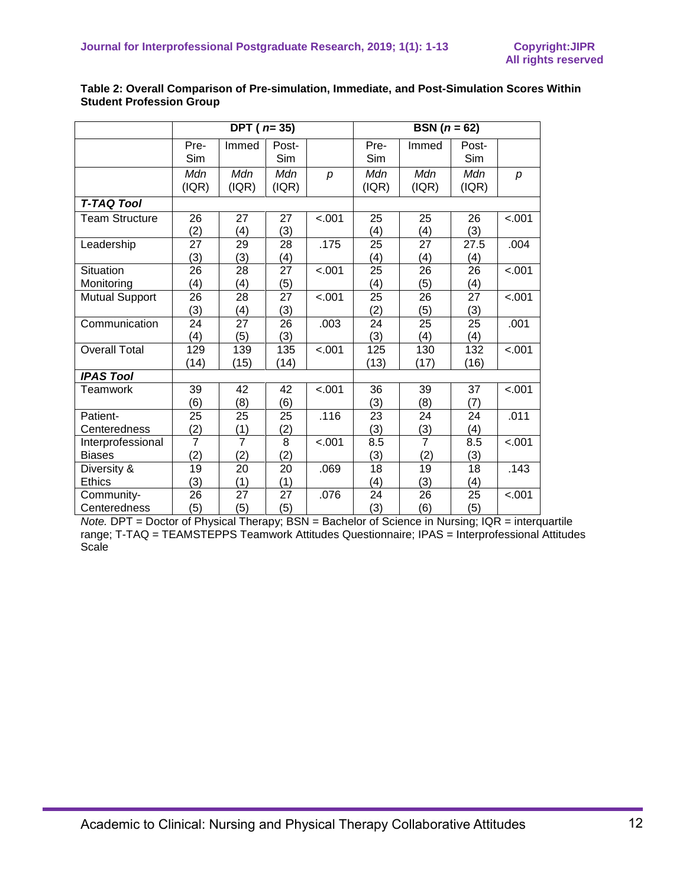|                                    | DPT ( $n=35$ )         |                        |                        |         | <b>BSN</b> $(n = 62)$  |                        |                        |         |
|------------------------------------|------------------------|------------------------|------------------------|---------|------------------------|------------------------|------------------------|---------|
|                                    | Pre-<br>Sim            | Immed                  | Post-<br>Sim           |         | Pre-<br>Sim            | Immed                  | Post-<br>Sim           |         |
|                                    | Mdn<br>( IQR)          | Mdn<br>(IQR)           | Mdn<br>(IQR)           | p       | Mdn<br>( IQR)          | Mdn<br>(IQR)           | Mdn<br>( IQR)          | p       |
| <b>T-TAQ Tool</b>                  |                        |                        |                        |         |                        |                        |                        |         |
| <b>Team Structure</b>              | 26<br>(2)              | 27<br>(4)              | 27<br>(3)              | $-.001$ | 25<br>(4)              | 25<br>(4)              | 26<br>(3)              | < .001  |
| Leadership                         | 27<br>(3)              | 29<br>(3)              | 28<br>(4)              | .175    | 25<br>(4)              | 27<br>(4)              | 27.5<br>(4)            | .004    |
| Situation<br>Monitoring            | 26<br>(4)              | 28<br>(4)              | $\overline{27}$<br>(5) | < .001  | $\overline{25}$<br>(4) | $\overline{26}$<br>(5) | $\overline{26}$<br>(4) | $-.001$ |
| <b>Mutual Support</b>              | $\overline{26}$<br>(3) | $\overline{28}$<br>(4) | $\overline{27}$<br>(3) | < .001  | $\overline{25}$<br>(2) | $\overline{26}$<br>(5) | $\overline{27}$<br>(3) | $-.001$ |
| Communication                      | 24<br>(4)              | 27<br>(5)              | 26<br>(3)              | .003    | 24<br>(3)              | 25<br>(4)              | 25<br>(4)              | .001    |
| <b>Overall Total</b>               | 129<br>(14)            | 139<br>(15)            | 135<br>(14)            | $-.001$ | 125<br>(13)            | 130<br>(17)            | 132<br>(16)            | $-.001$ |
| <b>IPAS Tool</b>                   |                        |                        |                        |         |                        |                        |                        |         |
| Teamwork                           | 39<br>(6)              | 42<br>(8)              | 42<br>(6)              | $-.001$ | 36<br>(3)              | 39<br>(8)              | 37<br>(7)              | $-.001$ |
| Patient-<br>Centeredness           | 25<br>(2)              | 25<br>(1)              | 25<br>(2)              | .116    | 23<br>(3)              | 24<br>$\frac{(3)}{7}$  | 24<br>(4)              | .011    |
| Interprofessional<br><b>Biases</b> | $\overline{7}$<br>(2)  | $\overline{7}$<br>(2)  | $\overline{8}$<br>(2)  | $-.001$ | 8.5<br>(3)             | (2)                    | 8.5<br>(3)             | $-.001$ |
| Diversity &<br><b>Ethics</b>       | $\overline{19}$<br>(3) | $\overline{20}$<br>(1) | $\overline{20}$<br>(1) | .069    | 18<br>(4)              | $\overline{19}$<br>(3) | 18<br>(4)              | .143    |
| Community-<br>Centeredness         | 26<br>(5)              | 27<br>(5)              | 27<br>(5)              | .076    | 24<br>(3)              | 26<br>(6)              | 25<br>(5)              | $-.001$ |

### **Table 2: Overall Comparison of Pre-simulation, Immediate, and Post-Simulation Scores Within Student Profession Group**

*Note.* DPT = Doctor of Physical Therapy; BSN = Bachelor of Science in Nursing; IQR = interquartile range; T-TAQ = TEAMSTEPPS Teamwork Attitudes Questionnaire; IPAS = Interprofessional Attitudes **Scale**